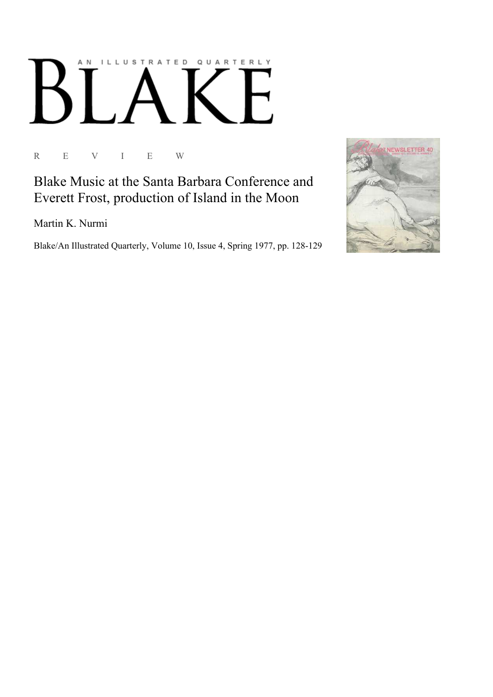## AN ILLUSTRATED QUARTERLY  $\lceil$  / К F

R E V I E W

Blake Music at the Santa Barbara Conference and Everett Frost, production of Island in the Moon

Martin K. Nurmi

Blake/An Illustrated Quarterly, Volume 10, Issue 4, Spring 1977, pp. 128-129

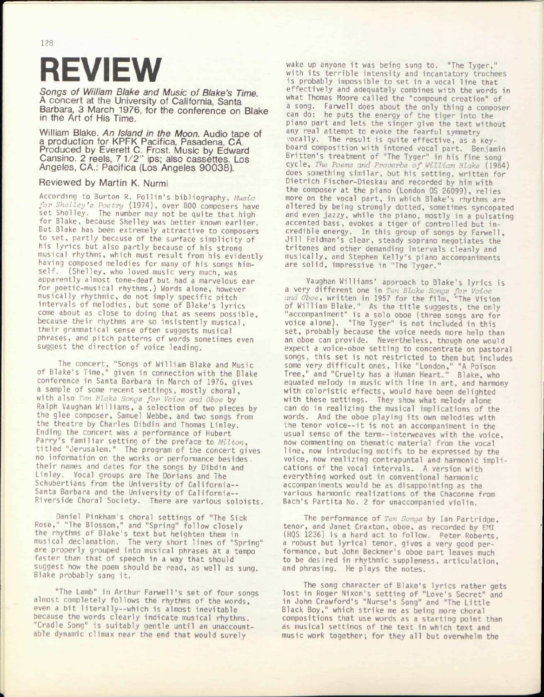## REVIEW

*Songs of William Blake and Music of Blake's Time.*  A concert at the University of California, Santa Barbara, 3 March 1976, for the conference on Blake in the Art of His Time.

William Blake. *An Island in the Moon.* Audio tape of a production for KPFK Pacifica, Pasadena, CA. Produced by Everett C. Frost. Music by Edward Cansino. 2 reels, 7 1/2" ips; also cassettes. Los Angeles, CA.: Pacifica (Los Angeles 90038).

## Reviewed by Martin K. Nurmi

According to Burton R. Poll in's bibliography, *Music for Shelley's Poetry* (1974), over 800 composers have set Shelley. The number may not be quite that high for Blake, because Shelley was better known earlier. But Blake has been extremely attractive to composers to set, partly because of the surface simplicity of his lyrics but also partly because of his strong musical rhythms, which must result from his evidently having composed melodies for many of his songs himself. (Shelley, who loved music *very* much, was apparently almost tone-deaf but had a marvelous ear for poetic-musical rhythms.) Words alone, however musically rhythmic, do not imply specific pitch intervals of melodies, but some of Blake's lyrics come about as close to doing that as seems possible, because their rhythms are so insistently musical, their grammatical sense often suggests musical phrases, and pitch patterns of words sometimes even suggest the direction of voice leading.

The concert, "Songs of William Blake and Music of Blake's Time," given in connection with the Blake conference in Santa Barbara in March of 1976, gives a sample of some recent settings, mostly choral, with also *ten Blake Songs for Voice and Oboe* by Ralph Vaughan Williams, a selection of two pieces by the glee composer, Samuel Webbe, and two songs from the theatre by Charles Dibdin and Thomas Linley. Ending the concert was a performance of Hubert Parry's familiar setting of the preface to *Milton,*  titled "Jerusalem." The program of the concert gives no information on the works or performance besides, their names and dates for the songs by Dibdin and Linley. Vocal groups *are* The Dorians and The Schubertians from the University of California-- Santa Barbara and the University of California-- Riverside Choral Society. There are various soloists.

Daniel Pinkham's choral settings of "The Sick Rose," "The Blossom," and "Spring" follow closely the rhythms of Blake's text but heighten them in musical declamation. The very short lines of "Spring" are properly grouped into musical phrases at a tempo faster than that of speech in a way that should suggest how the poem should be read, as well as sung. Blake probably sang it.

"The Lamb" in Arthur Farwell's set of four songs almost completely follows the rhythms of the words, even a bit 1iterally--which is almost inevitable because the words clearly indicate musical rhythms. "Cradle Song" is suitably gentle until an unaccountable dynamic climax near the end that would surely

wake up anyone it was being sung to. "The Tyger," with its terrible intensity and incantatory trochees is probably impossible to set in a vocal line that effectively and adequately combines with the words in what Thomas Moore called the "compound creation" of a song. Farwell does about the only thing a composer can do: he puts the energy of the tiger into the piano part and lets the singer give the text without any real attempt to evoke the fearful symmetry vocally. The result is quite effective, as a keyboard composition with intoned vocal part. Benjamin Britten's treatment of "The Tyger" in his fine song cycle, *The Poems and Proverbs of William Blake* (1964) does something similar, but his setting, written for Dietrich Fischer-Dieskau and recorded by him with the composer at the piano (London OS 26099), relies more on the vocal part, in which Blake's rhythms are altered by being strongly dotted, sometimes syncopated and even jazzy, while the piano, mostly in a pulsating accented bass, evokes a tiger of controlled but incredible energy. In this group of songs by Farwell, Jill Feldman's clear, steady soprano negotiates the tritones and other demanding intervals cleanly and musically, and Stephen Kelly's piano accompaniments are solid, impressive in "The Tyger."

Vaughan Williams' approach to Blake's lyrics is a *very* different one in *Ten Blake Songs for Voice and Oboe,* written in 1957 for the film, "The Vision of William Blake." As the title suggests, the only "accompaniment" is a solo oboe (three songs are for voice alone). "The Tyger" is not included in this set, probably because the voice needs more help than an oboe can provide. Nevertheless, though one would expect a voice-oboe setting to concentrate on pastoral songs, this set is not restricted to them but includes some *very* difficult ones, like "London," "A Poison Tree," and "Cruelty has a Human Heart." Blake, who equated melody in music with line in art, and harmony with coloristic effects, would have been delighted with these settings. They show what melody alone can do in realizing the musical implications of the words. And the oboe playing its own melodies with the tenor voice--it is not an accompaniment in the usual sense of the term--interweaves with the voice, now commenting on thematic material from the vocal line, now introducing motifs to be expressed by the voice, now realizing contrapuntal and harmonic implications of the vocal intervals. A version with everything worked out in conventional harmonic accompaniments would be as disappointing as the various harmonic realizations of the Chaconne from Bach's Partita No. 2 for unaccompanied violin.

The performance of *Ten Songs* by Ian Partridge, tenor, and Janet Craxton, oboe, as recorded by EMI (HQS 1236) is a hard act to follow. Peter Roberts, a robust but lyrical tenor, gives a very good performance, but John Beckner's oboe Dart leaves much to be desired in rhythmic suppleness, articulation, and phrasing. He plays the notes.

The song character of Blake's lyrics rather gets lost in Roger Nixon's setting of "Love's Secret" and in John Crawford's "Nurse's Song" and "The Little Black Boy," which strike me as being more choral compositions that use words as a starting point than as musical settinqs of the text in which text and music work together; for they all but overwhelm the

128